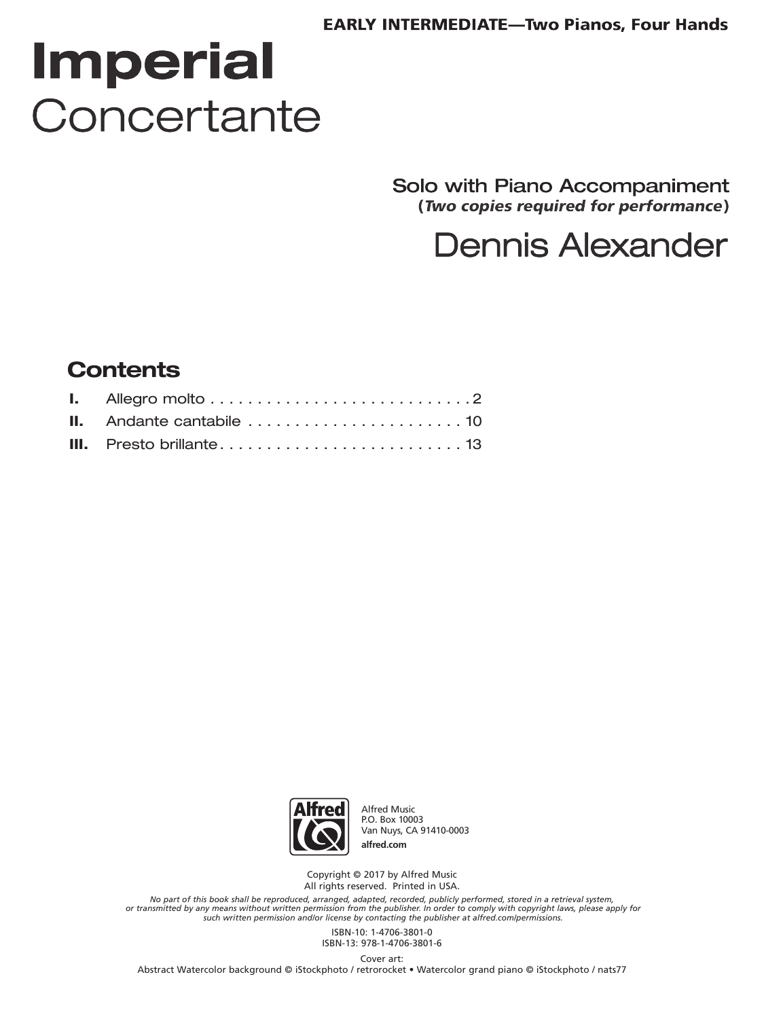#### **EARLY INTERMEDIATE-Two Pianos, Four Hands**

# **Imperial** Concertante

Solo with Piano Accompaniment (Two copies required for performance)

## **Dennis Alexander**

#### **Contents**



**Alfred Music** P.O. Box 10003 Van Nuys, CA 91410-0003 alfred.com

Copyright @ 2017 by Alfred Music All rights reserved. Printed in USA.

No part of this book shall be reproduced, arranged, adapted, recorded, publicly performed, stored in a retrieval system,<br>or transmitted by any means without written permission from the publisher. In order to comply with co

ISBN-10: 1-4706-3801-0 ISBN-13: 978-1-4706-3801-6

Cover art: Abstract Watercolor background @ iStockphoto / retrorocket . Watercolor grand piano @ iStockphoto / nats77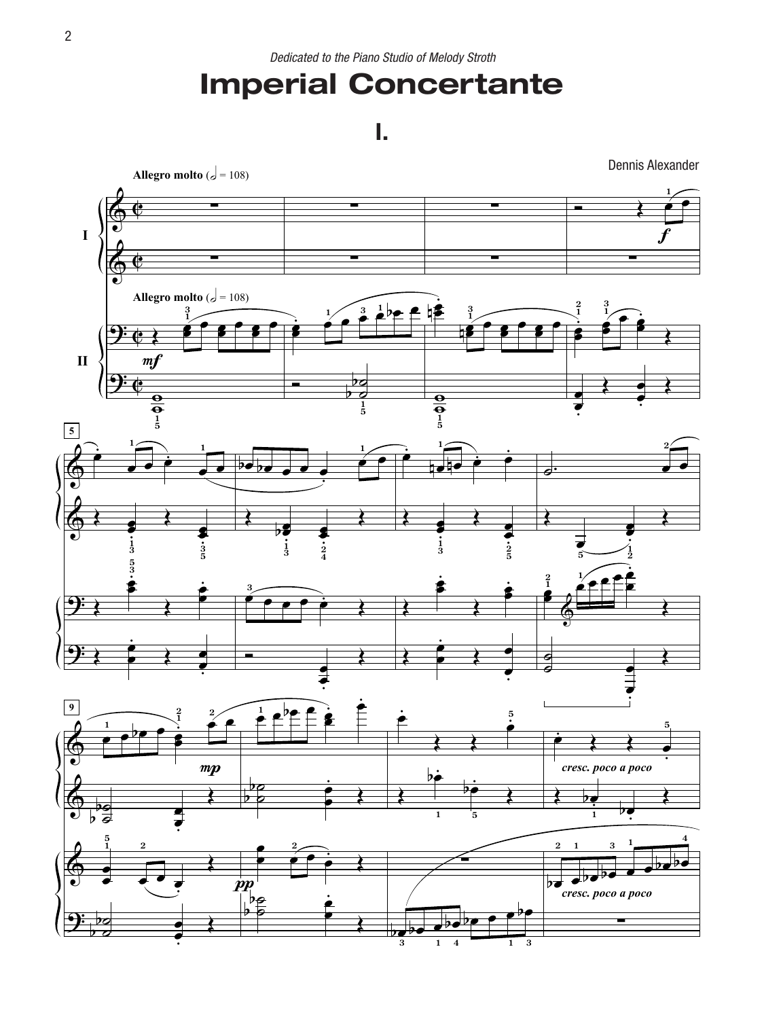### **Imperial Concertante**

**I.**

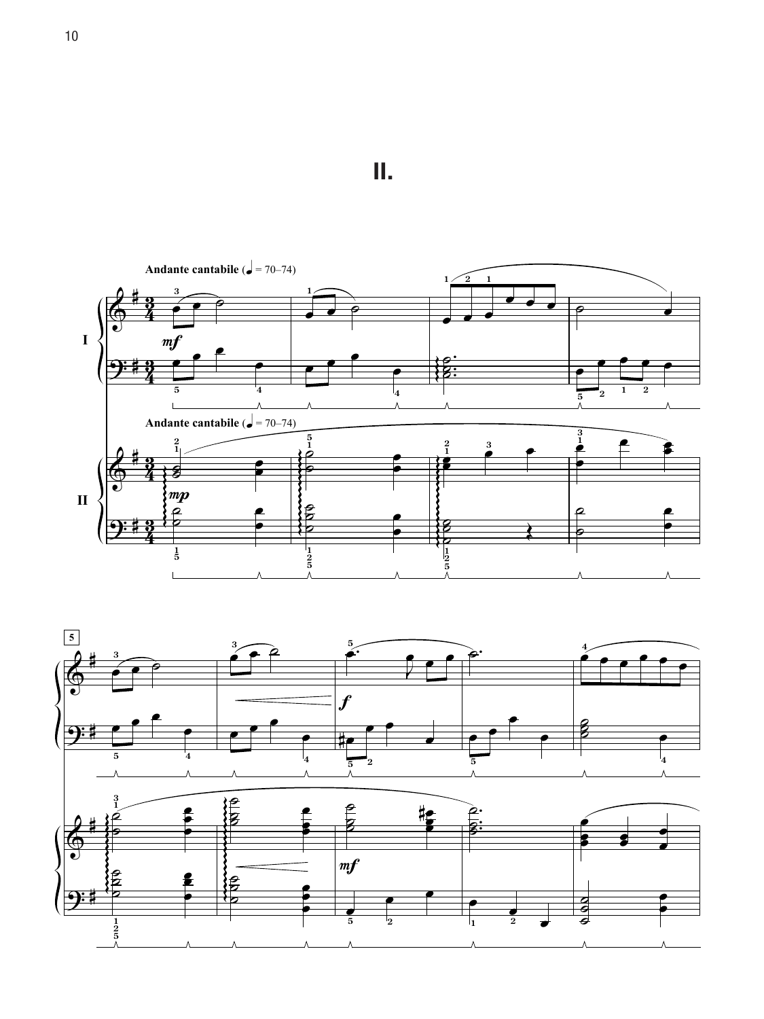